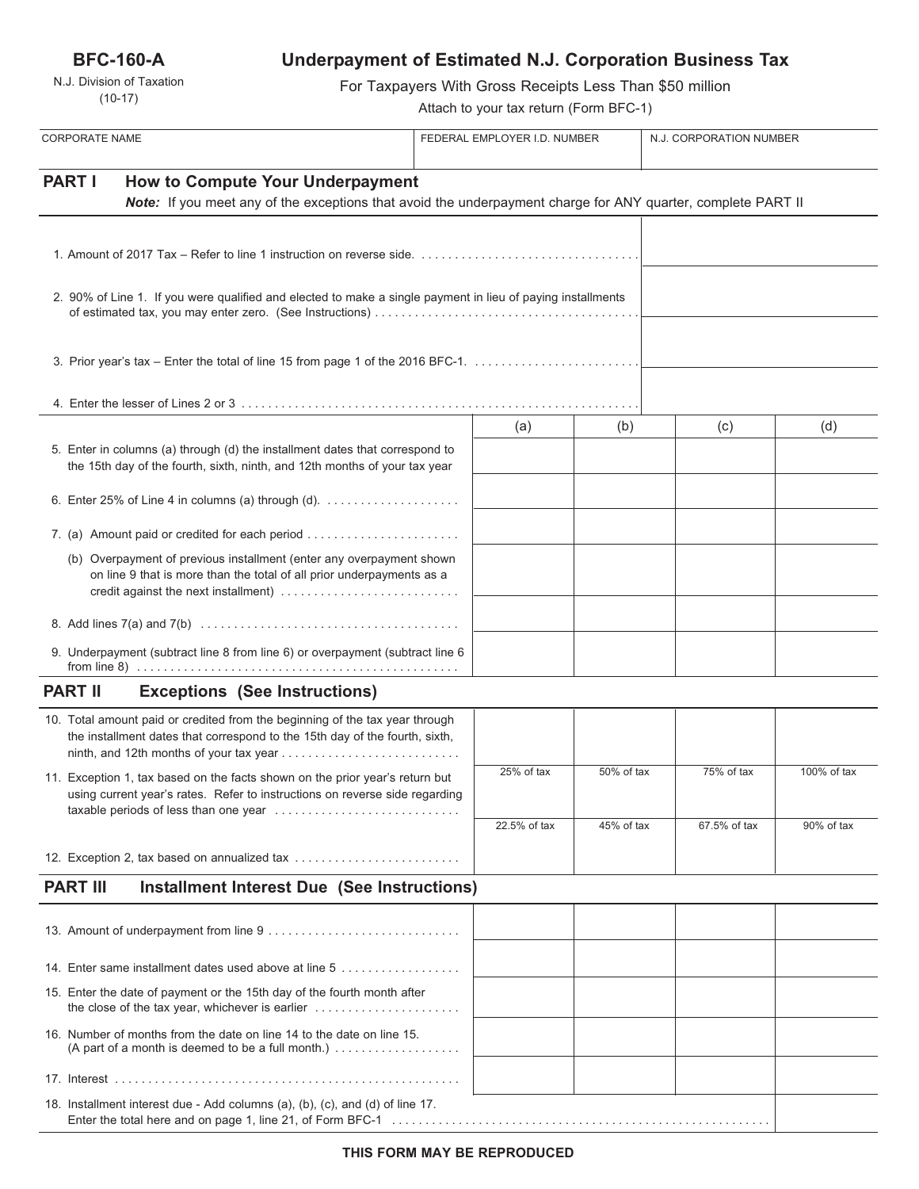**BFC-160-A**

N.J. Division of Taxation (10-17)

# **Underpayment of Estimated N.J. Corporation Business Tax**

For Taxpayers With Gross Receipts Less Than \$50 million

Attach to your tax return (Form BFC-1)

| <b>CORPORATE NAME</b>                                                                                                                                                    |                                                                                                                                                                                       | FEDERAL EMPLOYER I.D. NUMBER |              | N.J. CORPORATION NUMBER |              |             |
|--------------------------------------------------------------------------------------------------------------------------------------------------------------------------|---------------------------------------------------------------------------------------------------------------------------------------------------------------------------------------|------------------------------|--------------|-------------------------|--------------|-------------|
| <b>PART I</b><br><b>How to Compute Your Underpayment</b><br>Note: If you meet any of the exceptions that avoid the underpayment charge for ANY quarter, complete PART II |                                                                                                                                                                                       |                              |              |                         |              |             |
|                                                                                                                                                                          |                                                                                                                                                                                       |                              |              |                         |              |             |
|                                                                                                                                                                          | 2. 90% of Line 1. If you were qualified and elected to make a single payment in lieu of paying installments                                                                           |                              |              |                         |              |             |
|                                                                                                                                                                          | 3. Prior year's tax - Enter the total of line 15 from page 1 of the 2016 BFC-1.                                                                                                       |                              |              |                         |              |             |
|                                                                                                                                                                          |                                                                                                                                                                                       |                              |              |                         |              |             |
|                                                                                                                                                                          | 5. Enter in columns (a) through (d) the installment dates that correspond to<br>the 15th day of the fourth, sixth, ninth, and 12th months of your tax year                            |                              | (a)          | (b)                     | (c)          | (d)         |
|                                                                                                                                                                          | 6. Enter 25% of Line 4 in columns (a) through (d). $\ldots$                                                                                                                           |                              |              |                         |              |             |
|                                                                                                                                                                          | 7. (a) Amount paid or credited for each period                                                                                                                                        |                              |              |                         |              |             |
|                                                                                                                                                                          | (b) Overpayment of previous installment (enter any overpayment shown<br>on line 9 that is more than the total of all prior underpayments as a<br>credit against the next installment) |                              |              |                         |              |             |
|                                                                                                                                                                          |                                                                                                                                                                                       |                              |              |                         |              |             |
|                                                                                                                                                                          | 9. Underpayment (subtract line 8 from line 6) or overpayment (subtract line 6                                                                                                         |                              |              |                         |              |             |
|                                                                                                                                                                          | <b>PART II</b><br><b>Exceptions (See Instructions)</b>                                                                                                                                |                              |              |                         |              |             |
|                                                                                                                                                                          | 10. Total amount paid or credited from the beginning of the tax year through<br>the installment dates that correspond to the 15th day of the fourth, sixth,                           |                              |              |                         |              |             |
|                                                                                                                                                                          | 11. Exception 1, tax based on the facts shown on the prior year's return but<br>using current year's rates. Refer to instructions on reverse side regarding                           |                              | 25% of tax   | 50% of tax              | 75% of tax   | 100% of tax |
|                                                                                                                                                                          |                                                                                                                                                                                       |                              | 22.5% of tax | 45% of tax              | 67.5% of tax | 90% of tax  |
|                                                                                                                                                                          | 12. Exception 2, tax based on annualized tax                                                                                                                                          |                              |              |                         |              |             |
|                                                                                                                                                                          | <b>PART III</b><br><b>Installment Interest Due (See Instructions)</b>                                                                                                                 |                              |              |                         |              |             |
|                                                                                                                                                                          |                                                                                                                                                                                       |                              |              |                         |              |             |
|                                                                                                                                                                          |                                                                                                                                                                                       |                              |              |                         |              |             |
|                                                                                                                                                                          | 14. Enter same installment dates used above at line 5                                                                                                                                 |                              |              |                         |              |             |
|                                                                                                                                                                          | 15. Enter the date of payment or the 15th day of the fourth month after<br>the close of the tax year, whichever is earlier                                                            |                              |              |                         |              |             |
|                                                                                                                                                                          | 16. Number of months from the date on line 14 to the date on line 15.<br>(A part of a month is deemed to be a full month.)                                                            |                              |              |                         |              |             |
|                                                                                                                                                                          |                                                                                                                                                                                       |                              |              |                         |              |             |
|                                                                                                                                                                          | 18. Installment interest due - Add columns (a), (b), (c), and (d) of line 17.                                                                                                         |                              |              |                         |              |             |